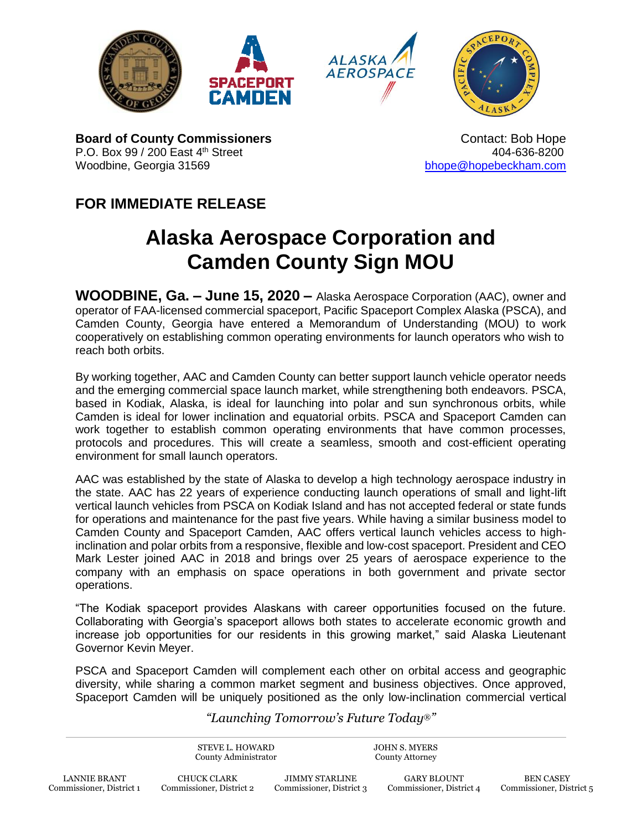





**Board of County Commissioners CONTER 1999** Contact: Bob Hope P.O. Box 99 / 200 East 4<sup>th</sup> Street 404-636-8200 **404-636-8200** Woodbine, Georgia 31569 [bhope@hopebeckham.com](mailto:bhope@hopebeckham.com)

## **FOR IMMEDIATE RELEASE**

## **Alaska Aerospace Corporation and Camden County Sign MOU**

**WOODBINE, Ga. – June 15, 2020 –** Alaska Aerospace Corporation (AAC), owner and operator of FAA-licensed commercial spaceport, Pacific Spaceport Complex Alaska (PSCA), and Camden County, Georgia have entered a Memorandum of Understanding (MOU) to work cooperatively on establishing common operating environments for launch operators who wish to reach both orbits.

By working together, AAC and Camden County can better support launch vehicle operator needs and the emerging commercial space launch market, while strengthening both endeavors. PSCA, based in Kodiak, Alaska, is ideal for launching into polar and sun synchronous orbits, while Camden is ideal for lower inclination and equatorial orbits. PSCA and Spaceport Camden can work together to establish common operating environments that have common processes, protocols and procedures. This will create a seamless, smooth and cost-efficient operating environment for small launch operators.

AAC was established by the state of Alaska to develop a high technology aerospace industry in the state. AAC has 22 years of experience conducting launch operations of small and light-lift vertical launch vehicles from PSCA on Kodiak Island and has not accepted federal or state funds for operations and maintenance for the past five years. While having a similar business model to Camden County and Spaceport Camden, AAC offers vertical launch vehicles access to highinclination and polar orbits from a responsive, flexible and low-cost spaceport. President and CEO Mark Lester joined AAC in 2018 and brings over 25 years of aerospace experience to the company with an emphasis on space operations in both government and private sector operations.

"The Kodiak spaceport provides Alaskans with career opportunities focused on the future. Collaborating with Georgia's spaceport allows both states to accelerate economic growth and increase job opportunities for our residents in this growing market," said Alaska Lieutenant Governor Kevin Meyer.

PSCA and Spaceport Camden will complement each other on orbital access and geographic diversity, while sharing a common market segment and business objectives. Once approved, Spaceport Camden will be uniquely positioned as the only low-inclination commercial vertical

*"Launching Tomorrow's Future Today*®*"*

STEVE L. HOWARD County Administrator JOHN S. MYERS County Attorney LANNIE BRANT Commissioner, District 1 CHUCK CLARK Commissioner, District 2 JIMMY STARLINE Commissioner, District 3 GARY BLOUNT Commissioner, District 4

BEN CASEY Commissioner, District 5